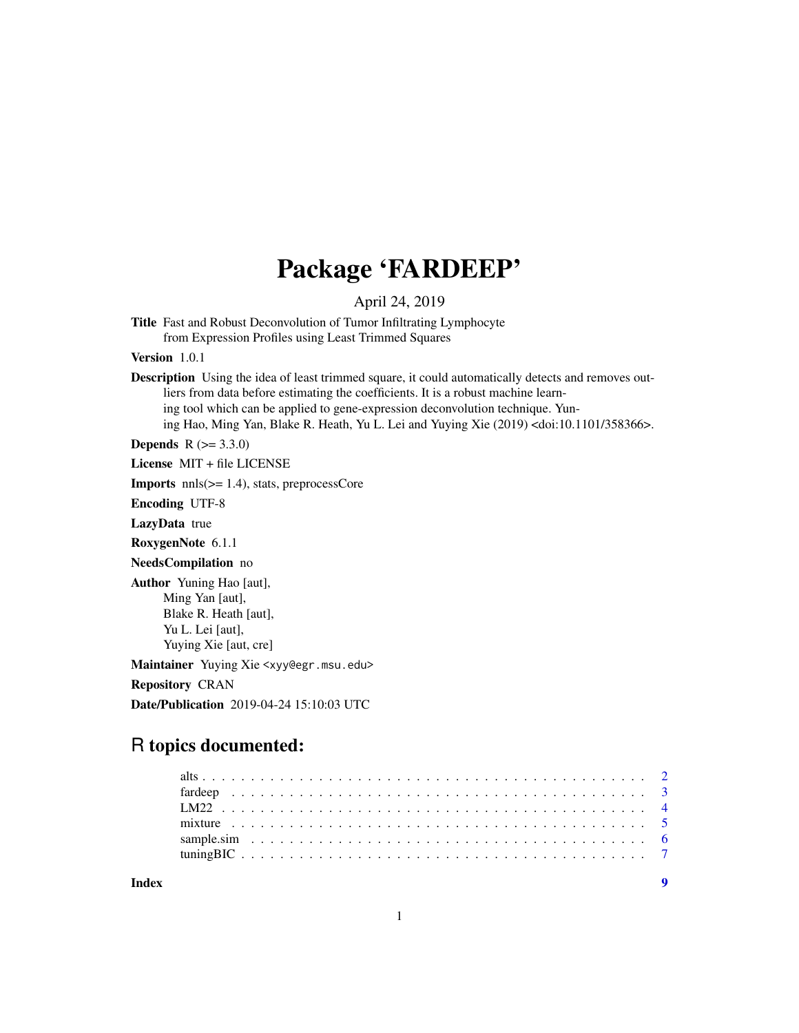# Package 'FARDEEP'

April 24, 2019

Title Fast and Robust Deconvolution of Tumor Infiltrating Lymphocyte from Expression Profiles using Least Trimmed Squares

Version 1.0.1

Description Using the idea of least trimmed square, it could automatically detects and removes outliers from data before estimating the coefficients. It is a robust machine learning tool which can be applied to gene-expression deconvolution technique. Yuning Hao, Ming Yan, Blake R. Heath, Yu L. Lei and Yuying Xie (2019) <doi:10.1101/358366>.

**Depends** R  $(>= 3.3.0)$ 

License MIT + file LICENSE

Imports nnls(>= 1.4), stats, preprocessCore

Encoding UTF-8

LazyData true

RoxygenNote 6.1.1

NeedsCompilation no

Author Yuning Hao [aut], Ming Yan [aut], Blake R. Heath [aut], Yu L. Lei [aut], Yuying Xie [aut, cre]

Maintainer Yuying Xie <xyy@egr.msu.edu>

Repository CRAN

Date/Publication 2019-04-24 15:10:03 UTC

# R topics documented:

| Indev |  |  |
|-------|--|--|
|       |  |  |
|       |  |  |
|       |  |  |
|       |  |  |
|       |  |  |
|       |  |  |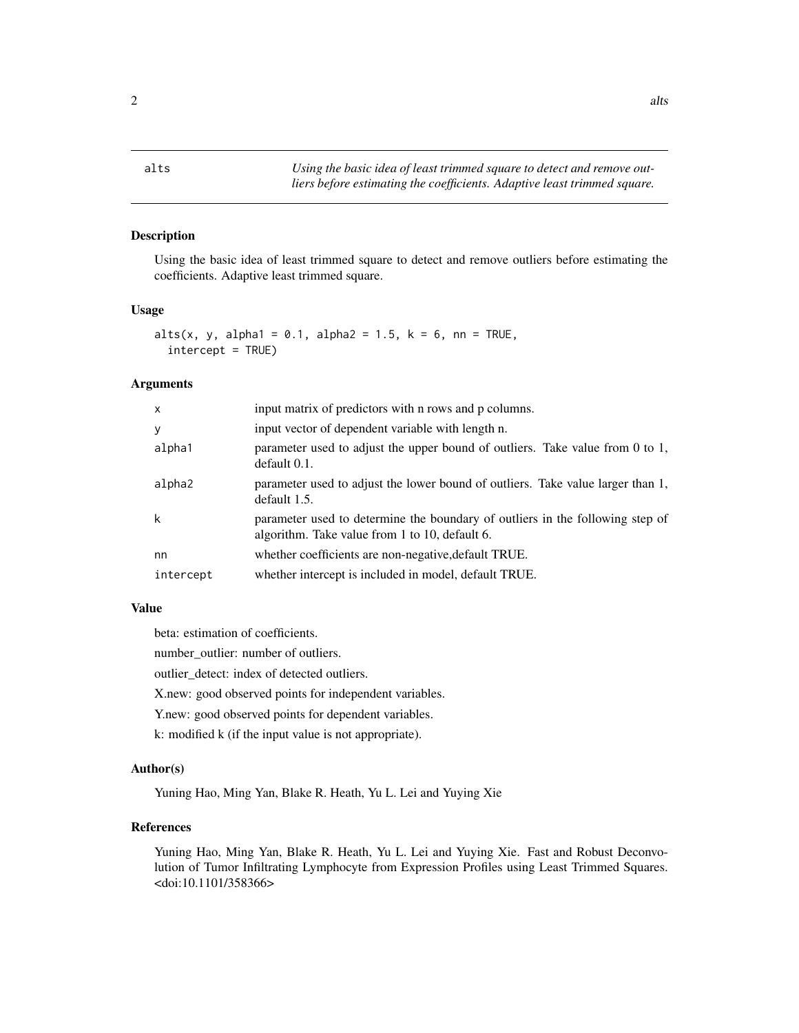<span id="page-1-0"></span>alts *Using the basic idea of least trimmed square to detect and remove outliers before estimating the coefficients. Adaptive least trimmed square.*

# Description

Using the basic idea of least trimmed square to detect and remove outliers before estimating the coefficients. Adaptive least trimmed square.

#### Usage

```
alts(x, y, alpha1 = 0.1, alpha2 = 1.5, k = 6, nn = TRUE,
  intercept = TRUE)
```
#### Arguments

| input matrix of predictors with n rows and p columns.                                                                           |
|---------------------------------------------------------------------------------------------------------------------------------|
| input vector of dependent variable with length n.                                                                               |
| parameter used to adjust the upper bound of outliers. Take value from 0 to 1,<br>default 0.1.                                   |
| parameter used to adjust the lower bound of outliers. Take value larger than 1,<br>default 1.5.                                 |
| parameter used to determine the boundary of outliers in the following step of<br>algorithm. Take value from 1 to 10, default 6. |
| whether coefficients are non-negative, default TRUE.                                                                            |
| whether intercept is included in model, default TRUE.                                                                           |
|                                                                                                                                 |

#### Value

beta: estimation of coefficients.

number\_outlier: number of outliers.

outlier\_detect: index of detected outliers.

X.new: good observed points for independent variables.

Y.new: good observed points for dependent variables.

k: modified k (if the input value is not appropriate).

# Author(s)

Yuning Hao, Ming Yan, Blake R. Heath, Yu L. Lei and Yuying Xie

# References

Yuning Hao, Ming Yan, Blake R. Heath, Yu L. Lei and Yuying Xie. Fast and Robust Deconvolution of Tumor Infiltrating Lymphocyte from Expression Profiles using Least Trimmed Squares. <doi:10.1101/358366>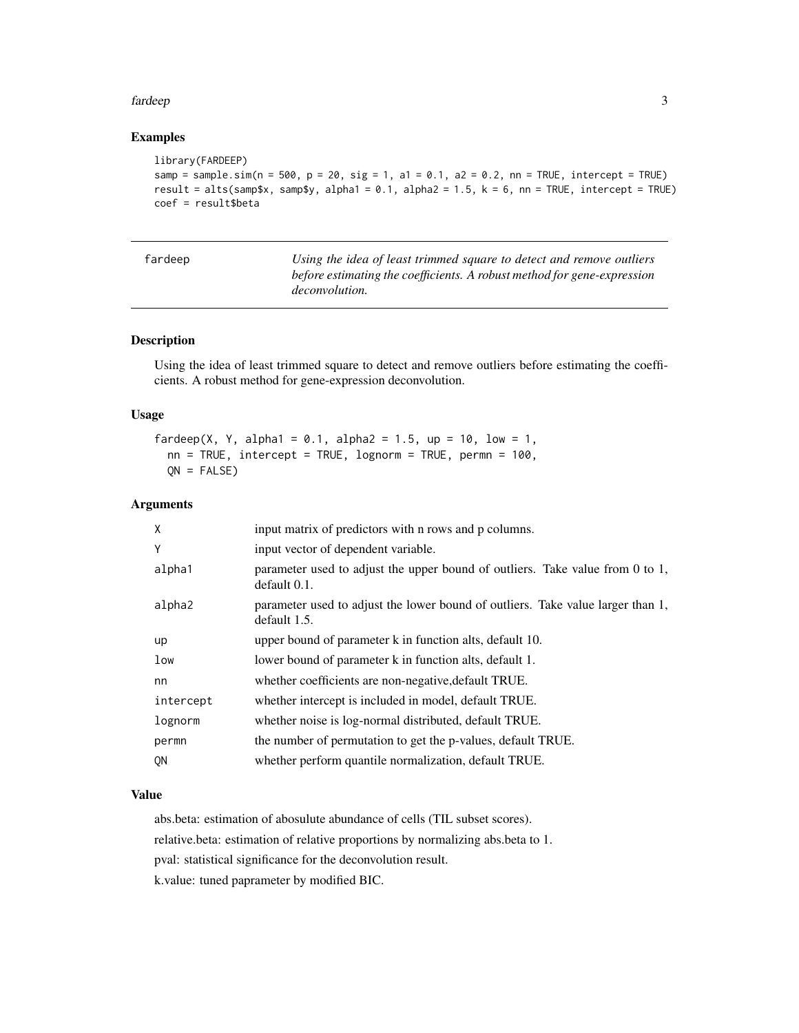#### <span id="page-2-0"></span>fardeep 3

# Examples

```
library(FARDEEP)
samp = sample.sim(n = 500, p = 20, sig = 1, a1 = 0.1, a2 = 0.2, nn = TRUE, intercept = TRUE)
result = alts(samp$x, samp$y, alpha1 = 0.1, alpha2 = 1.5, k = 6, nn = TRUE, intercept = TRUE)
coef = result$beta
```

| fardeep | Using the idea of least trimmed square to detect and remove outliers    |
|---------|-------------------------------------------------------------------------|
|         | before estimating the coefficients. A robust method for gene-expression |
|         | <i>deconvolution.</i>                                                   |

# Description

Using the idea of least trimmed square to detect and remove outliers before estimating the coefficients. A robust method for gene-expression deconvolution.

#### Usage

```
fardeep(X, Y, alpha1 = 0.1, alpha2 = 1.5, up = 10, low = 1,
 nn = TRUE, intercept = TRUE, lognorm = TRUE, permn = 100,
 QN = FALSE
```
# Arguments

| X              | input matrix of predictors with n rows and p columns.                                           |
|----------------|-------------------------------------------------------------------------------------------------|
| Y              | input vector of dependent variable.                                                             |
| alpha1         | parameter used to adjust the upper bound of outliers. Take value from 0 to 1,<br>default 0.1.   |
| alpha2         | parameter used to adjust the lower bound of outliers. Take value larger than 1,<br>default 1.5. |
| up             | upper bound of parameter k in function alts, default 10.                                        |
| low            | lower bound of parameter k in function alts, default 1.                                         |
| nn             | whether coefficients are non-negative, default TRUE.                                            |
| intercept      | whether intercept is included in model, default TRUE.                                           |
| lognorm        | whether noise is log-normal distributed, default TRUE.                                          |
| permn          | the number of permutation to get the p-values, default TRUE.                                    |
| 0 <sub>N</sub> | whether perform quantile normalization, default TRUE.                                           |
|                |                                                                                                 |

#### Value

abs.beta: estimation of abosulute abundance of cells (TIL subset scores). relative.beta: estimation of relative proportions by normalizing abs.beta to 1.

pval: statistical significance for the deconvolution result.

k.value: tuned paprameter by modified BIC.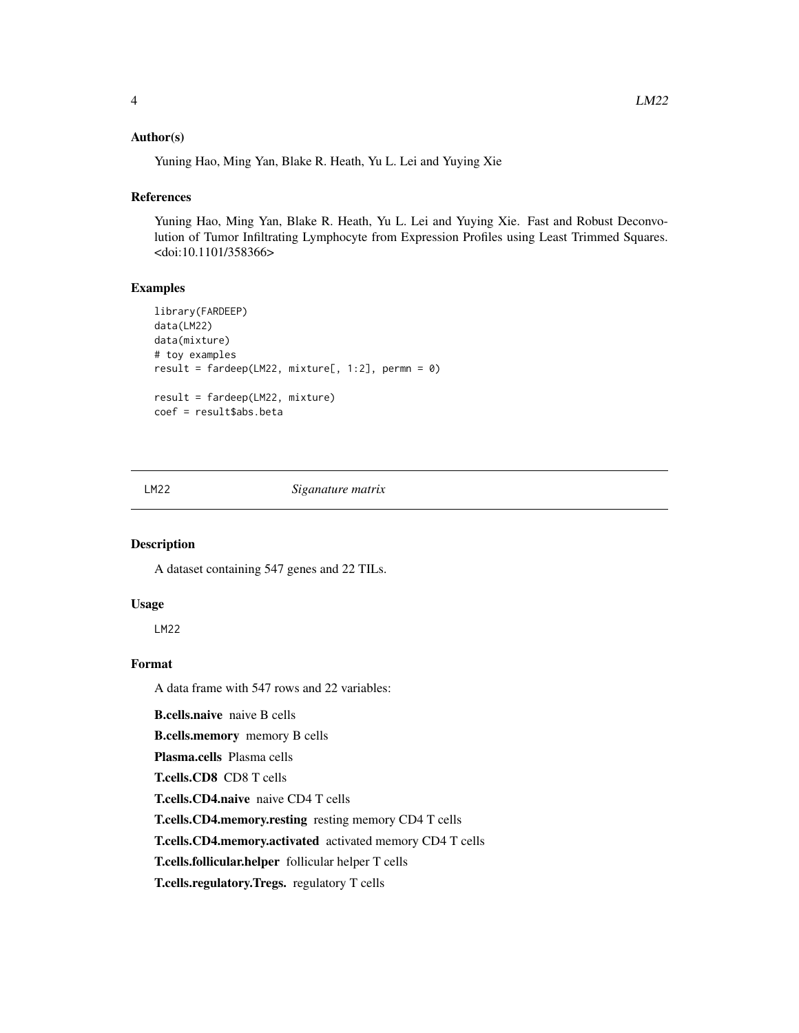#### <span id="page-3-0"></span>Author(s)

Yuning Hao, Ming Yan, Blake R. Heath, Yu L. Lei and Yuying Xie

# References

Yuning Hao, Ming Yan, Blake R. Heath, Yu L. Lei and Yuying Xie. Fast and Robust Deconvolution of Tumor Infiltrating Lymphocyte from Expression Profiles using Least Trimmed Squares. <doi:10.1101/358366>

# Examples

```
library(FARDEEP)
data(LM22)
data(mixture)
# toy examples
result = fardeep(LM22, mixture[, 1:2], permn = 0)
result = fardeep(LM22, mixture)
coef = result$abs.beta
```
LM22 *Siganature matrix*

### Description

A dataset containing 547 genes and 22 TILs.

#### Usage

LM22

#### Format

A data frame with 547 rows and 22 variables:

B.cells.naive naive B cells B.cells.memory memory B cells Plasma.cells Plasma cells T.cells.CD8 CD8 T cells T.cells.CD4.naive naive CD4 T cells T.cells.CD4.memory.resting resting memory CD4 T cells T.cells.CD4.memory.activated activated memory CD4 T cells T.cells.follicular.helper follicular helper T cells T.cells.regulatory.Tregs. regulatory T cells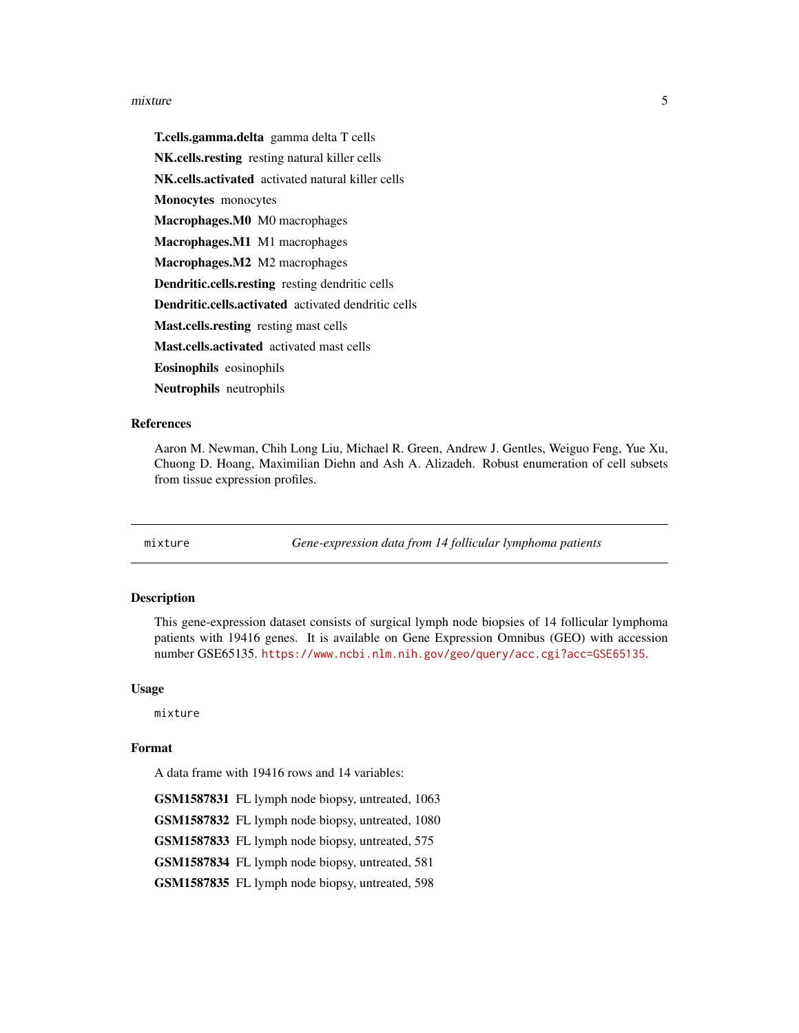#### <span id="page-4-0"></span>mixture 5

T.cells.gamma.delta gamma delta T cells NK.cells.resting resting natural killer cells NK.cells.activated activated natural killer cells Monocytes monocytes Macrophages.M0 M0 macrophages Macrophages.M1 M1 macrophages Macrophages.M2 M2 macrophages Dendritic.cells.resting resting dendritic cells Dendritic.cells.activated activated dendritic cells Mast.cells.resting resting mast cells Mast.cells.activated activated mast cells Eosinophils eosinophils Neutrophils neutrophils

#### References

Aaron M. Newman, Chih Long Liu, Michael R. Green, Andrew J. Gentles, Weiguo Feng, Yue Xu, Chuong D. Hoang, Maximilian Diehn and Ash A. Alizadeh. Robust enumeration of cell subsets from tissue expression profiles.

mixture *Gene-expression data from 14 follicular lymphoma patients*

#### **Description**

This gene-expression dataset consists of surgical lymph node biopsies of 14 follicular lymphoma patients with 19416 genes. It is available on Gene Expression Omnibus (GEO) with accession number GSE65135. <https://www.ncbi.nlm.nih.gov/geo/query/acc.cgi?acc=GSE65135>.

#### Usage

mixture

#### Format

A data frame with 19416 rows and 14 variables:

GSM1587831 FL lymph node biopsy, untreated, 1063

GSM1587832 FL lymph node biopsy, untreated, 1080

GSM1587833 FL lymph node biopsy, untreated, 575

GSM1587834 FL lymph node biopsy, untreated, 581

GSM1587835 FL lymph node biopsy, untreated, 598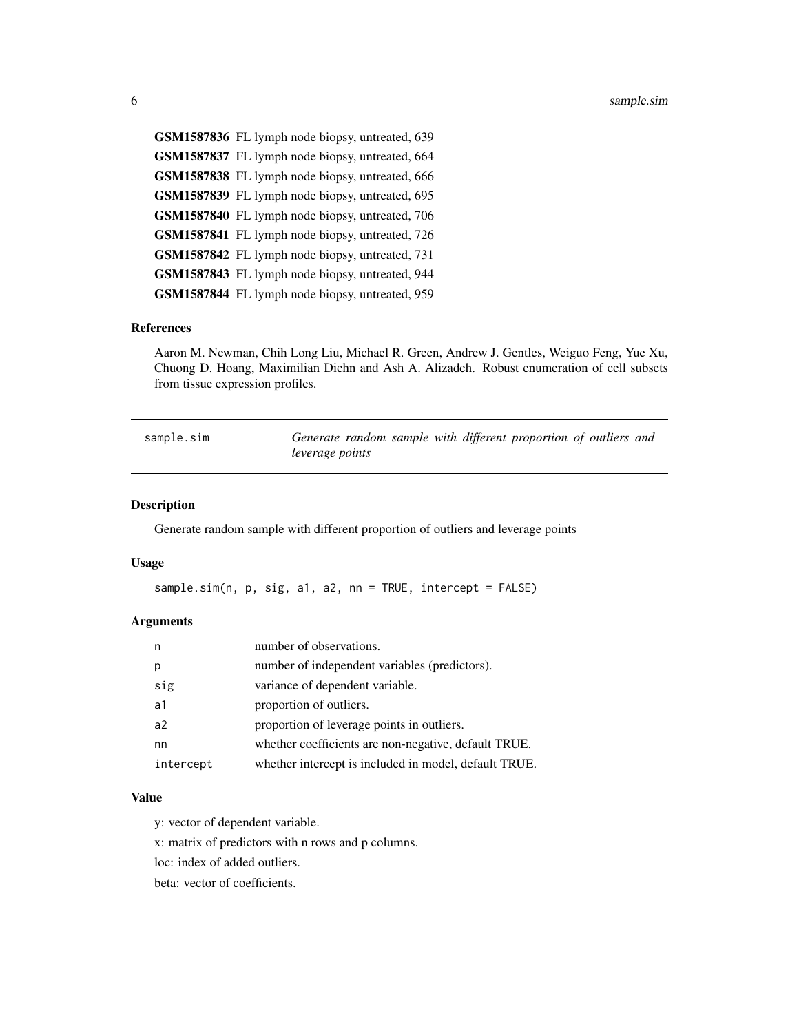<span id="page-5-0"></span>GSM1587836 FL lymph node biopsy, untreated, 639 GSM1587837 FL lymph node biopsy, untreated, 664 GSM1587838 FL lymph node biopsy, untreated, 666 GSM1587839 FL lymph node biopsy, untreated, 695 GSM1587840 FL lymph node biopsy, untreated, 706 GSM1587841 FL lymph node biopsy, untreated, 726 GSM1587842 FL lymph node biopsy, untreated, 731 GSM1587843 FL lymph node biopsy, untreated, 944 GSM1587844 FL lymph node biopsy, untreated, 959

#### References

Aaron M. Newman, Chih Long Liu, Michael R. Green, Andrew J. Gentles, Weiguo Feng, Yue Xu, Chuong D. Hoang, Maximilian Diehn and Ash A. Alizadeh. Robust enumeration of cell subsets from tissue expression profiles.

| sample.sim | Generate random sample with different proportion of outliers and |  |  |  |  |
|------------|------------------------------------------------------------------|--|--|--|--|
|            | leverage points                                                  |  |  |  |  |

#### Description

Generate random sample with different proportion of outliers and leverage points

#### Usage

```
sample.sim(n, p, sig, a1, a2, nn = TRUE, intercept = FALSE)
```
#### Arguments

| n              | number of observations.                               |
|----------------|-------------------------------------------------------|
| р              | number of independent variables (predictors).         |
| sig            | variance of dependent variable.                       |
| a1             | proportion of outliers.                               |
| a <sub>2</sub> | proportion of leverage points in outliers.            |
| nn             | whether coefficients are non-negative, default TRUE.  |
| intercept      | whether intercept is included in model, default TRUE. |

#### Value

y: vector of dependent variable.

x: matrix of predictors with n rows and p columns.

loc: index of added outliers.

beta: vector of coefficients.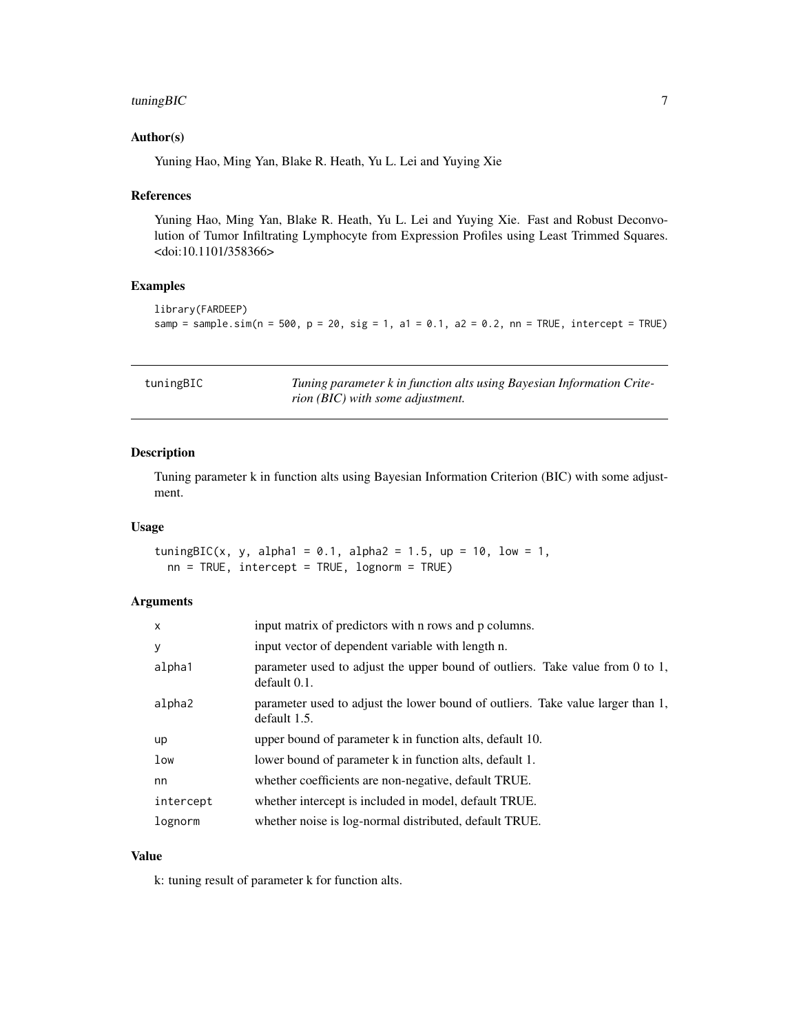# <span id="page-6-0"></span>tuningBIC 7

#### Author(s)

Yuning Hao, Ming Yan, Blake R. Heath, Yu L. Lei and Yuying Xie

#### References

Yuning Hao, Ming Yan, Blake R. Heath, Yu L. Lei and Yuying Xie. Fast and Robust Deconvolution of Tumor Infiltrating Lymphocyte from Expression Profiles using Least Trimmed Squares. <doi:10.1101/358366>

# Examples

```
library(FARDEEP)
samp = sample.sim(n = 500, p = 20, sig = 1, a1 = 0.1, a2 = 0.2, nn = TRUE, intercept = TRUE)
```

| tuningBIC | Tuning parameter k in function alts using Bayesian Information Crite- |
|-----------|-----------------------------------------------------------------------|
|           | rion (BIC) with some adjustment.                                      |

# Description

Tuning parameter k in function alts using Bayesian Information Criterion (BIC) with some adjustment.

#### Usage

tuningBIC(x, y, alpha1 = 0.1, alpha2 = 1.5, up = 10, low = 1, nn = TRUE, intercept = TRUE, lognorm = TRUE)

#### Arguments

| $\mathsf{x}$ | input matrix of predictors with n rows and p columns.                                           |
|--------------|-------------------------------------------------------------------------------------------------|
| У            | input vector of dependent variable with length n.                                               |
| alpha1       | parameter used to adjust the upper bound of outliers. Take value from 0 to 1,<br>default 0.1.   |
| alpha2       | parameter used to adjust the lower bound of outliers. Take value larger than 1,<br>default 1.5. |
| up           | upper bound of parameter k in function alts, default 10.                                        |
| low          | lower bound of parameter k in function alts, default 1.                                         |
| nn           | whether coefficients are non-negative, default TRUE.                                            |
| intercept    | whether intercept is included in model, default TRUE.                                           |
| lognorm      | whether noise is log-normal distributed, default TRUE.                                          |

#### Value

k: tuning result of parameter k for function alts.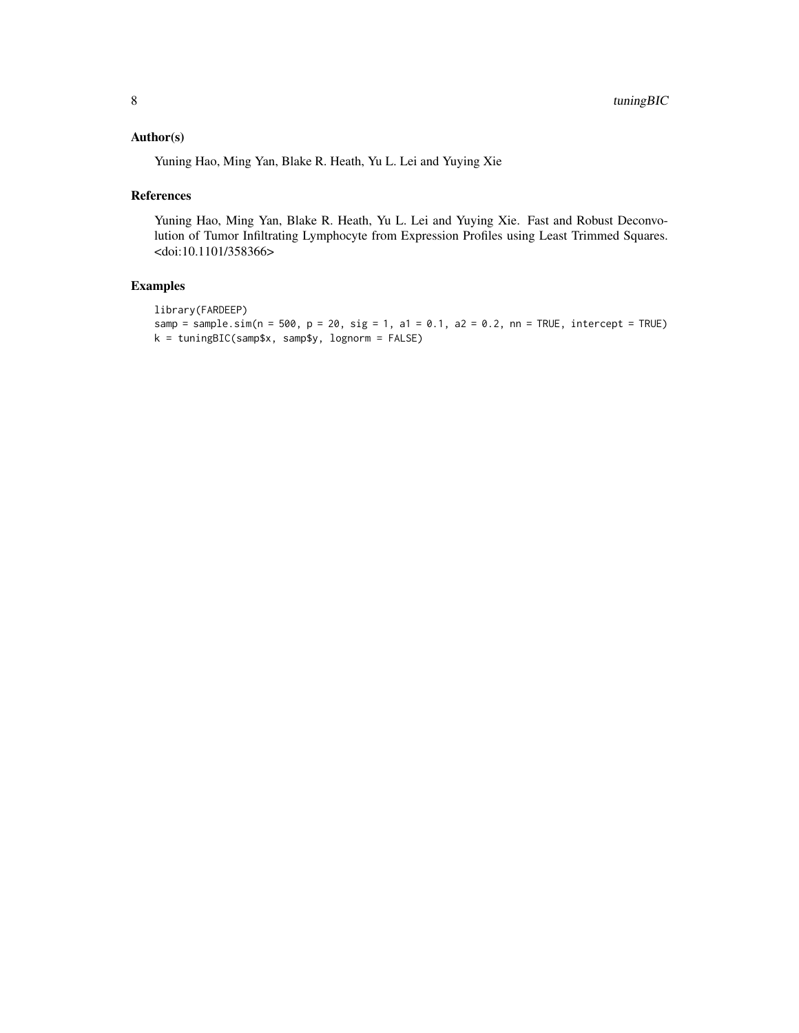# Author(s)

Yuning Hao, Ming Yan, Blake R. Heath, Yu L. Lei and Yuying Xie

#### References

Yuning Hao, Ming Yan, Blake R. Heath, Yu L. Lei and Yuying Xie. Fast and Robust Deconvolution of Tumor Infiltrating Lymphocyte from Expression Profiles using Least Trimmed Squares. <doi:10.1101/358366>

# Examples

```
library(FARDEEP)
samp = sample.sim(n = 500, p = 20, sig = 1, a1 = 0.1, a2 = 0.2, nn = TRUE, intercept = TRUE)
k = tuningBIC(samp$x, samp$y, lognorm = FALSE)
```